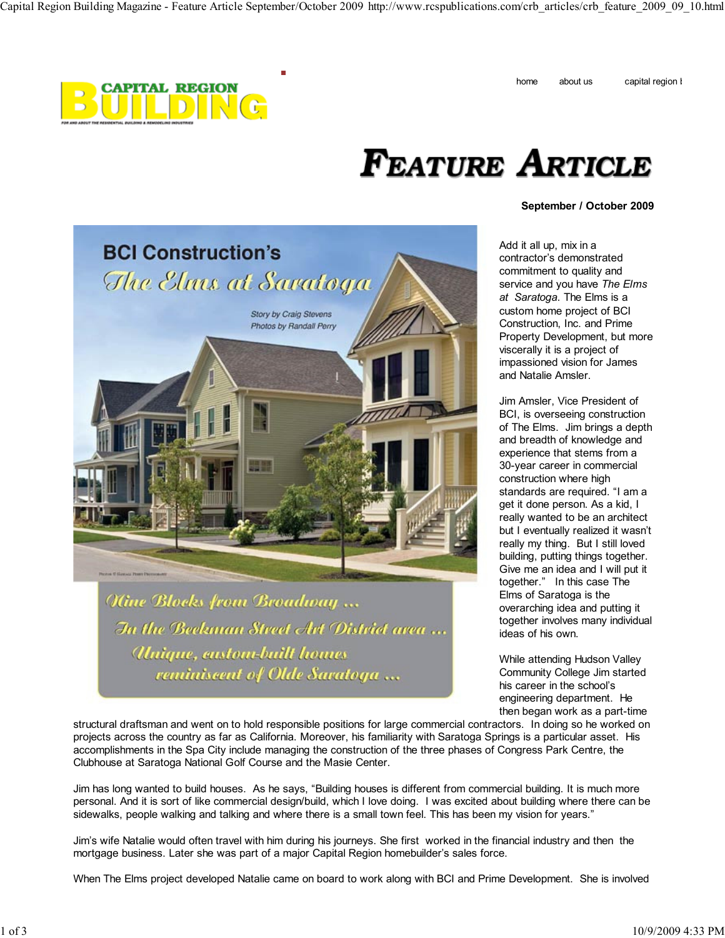



## Feature Article

## **September / October 2009**



**Kine Blocks from Broadway...** In the Beekman Street Art District area ... Unique, austom-built homes reminiscent of Olde Saratoga ...

Add it all up, mix in a contractor's demonstrated commitment to quality and service and you have *The Elms at Saratoga*. The Elms is a custom home project of BCI Construction, Inc. and Prime Property Development, but more viscerally it is a project of impassioned vision for James and Natalie Amsler.

Jim Amsler, Vice President of BCI, is overseeing construction of The Elms. Jim brings a depth and breadth of knowledge and experience that stems from a 30-year career in commercial construction where high standards are required. "I am a get it done person. As a kid, I really wanted to be an architect but I eventually realized it wasn't really my thing. But I still loved building, putting things together. Give me an idea and I will put it together." In this case The Elms of Saratoga is the overarching idea and putting it together involves many individual ideas of his own.

While attending Hudson Valley Community College Jim started his career in the school's engineering department. He then began work as a part-time

structural draftsman and went on to hold responsible positions for large commercial contractors. In doing so he worked on projects across the country as far as California. Moreover, his familiarity with Saratoga Springs is a particular asset. His accomplishments in the Spa City include managing the construction of the three phases of Congress Park Centre, the Clubhouse at Saratoga National Golf Course and the Masie Center.

Jim has long wanted to build houses. As he says, "Building houses is different from commercial building. It is much more personal. And it is sort of like commercial design/build, which I love doing. I was excited about building where there can be sidewalks, people walking and talking and where there is a small town feel. This has been my vision for years."

Jim's wife Natalie would often travel with him during his journeys. She first worked in the financial industry and then the mortgage business. Later she was part of a major Capital Region homebuilder's sales force.

When The Elms project developed Natalie came on board to work along with BCI and Prime Development. She is involved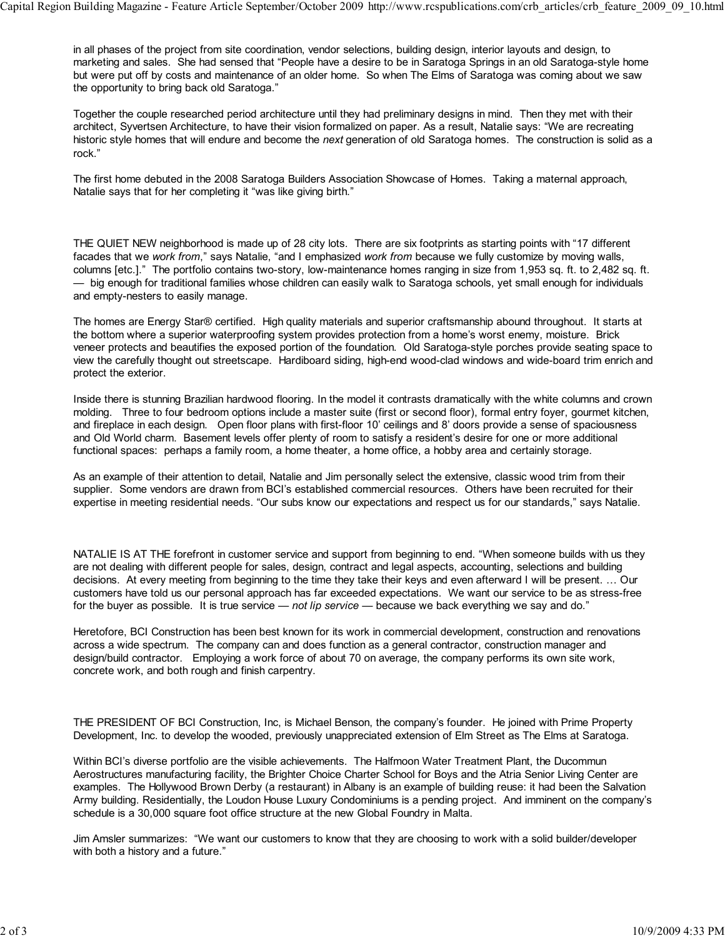in all phases of the project from site coordination, vendor selections, building design, interior layouts and design, to marketing and sales. She had sensed that "People have a desire to be in Saratoga Springs in an old Saratoga-style home but were put off by costs and maintenance of an older home. So when The Elms of Saratoga was coming about we saw the opportunity to bring back old Saratoga."

Together the couple researched period architecture until they had preliminary designs in mind. Then they met with their architect, Syvertsen Architecture, to have their vision formalized on paper. As a result, Natalie says: "We are recreating historic style homes that will endure and become the *next* generation of old Saratoga homes. The construction is solid as a rock."

The first home debuted in the 2008 Saratoga Builders Association Showcase of Homes. Taking a maternal approach, Natalie says that for her completing it "was like giving birth."

THE QUIET NEW neighborhood is made up of 28 city lots. There are six footprints as starting points with "17 different facades that we *work from*," says Natalie, "and I emphasized *work from* because we fully customize by moving walls, columns [etc.]." The portfolio contains two-story, low-maintenance homes ranging in size from 1,953 sq. ft. to 2,482 sq. ft. — big enough for traditional families whose children can easily walk to Saratoga schools, yet small enough for individuals and empty-nesters to easily manage.

The homes are Energy Star® certified. High quality materials and superior craftsmanship abound throughout. It starts at the bottom where a superior waterproofing system provides protection from a home's worst enemy, moisture. Brick veneer protects and beautifies the exposed portion of the foundation. Old Saratoga-style porches provide seating space to view the carefully thought out streetscape. Hardiboard siding, high-end wood-clad windows and wide-board trim enrich and protect the exterior.

Inside there is stunning Brazilian hardwood flooring. In the model it contrasts dramatically with the white columns and crown molding. Three to four bedroom options include a master suite (first or second floor), formal entry foyer, gourmet kitchen, and fireplace in each design. Open floor plans with first-floor 10' ceilings and 8' doors provide a sense of spaciousness and Old World charm. Basement levels offer plenty of room to satisfy a resident's desire for one or more additional functional spaces: perhaps a family room, a home theater, a home office, a hobby area and certainly storage.

As an example of their attention to detail, Natalie and Jim personally select the extensive, classic wood trim from their supplier. Some vendors are drawn from BCI's established commercial resources. Others have been recruited for their expertise in meeting residential needs. "Our subs know our expectations and respect us for our standards," says Natalie.

NATALIE IS AT THE forefront in customer service and support from beginning to end. "When someone builds with us they are not dealing with different people for sales, design, contract and legal aspects, accounting, selections and building decisions. At every meeting from beginning to the time they take their keys and even afterward I will be present. … Our customers have told us our personal approach has far exceeded expectations. We want our service to be as stress-free for the buyer as possible. It is true service — *not lip service* — because we back everything we say and do."

Heretofore, BCI Construction has been best known for its work in commercial development, construction and renovations across a wide spectrum. The company can and does function as a general contractor, construction manager and design/build contractor. Employing a work force of about 70 on average, the company performs its own site work, concrete work, and both rough and finish carpentry.

THE PRESIDENT OF BCI Construction, Inc, is Michael Benson, the company's founder. He joined with Prime Property Development, Inc. to develop the wooded, previously unappreciated extension of Elm Street as The Elms at Saratoga.

Within BCI's diverse portfolio are the visible achievements. The Halfmoon Water Treatment Plant, the Ducommun Aerostructures manufacturing facility, the Brighter Choice Charter School for Boys and the Atria Senior Living Center are examples. The Hollywood Brown Derby (a restaurant) in Albany is an example of building reuse: it had been the Salvation Army building. Residentially, the Loudon House Luxury Condominiums is a pending project. And imminent on the company's schedule is a 30,000 square foot office structure at the new Global Foundry in Malta.

Jim Amsler summarizes: "We want our customers to know that they are choosing to work with a solid builder/developer with both a history and a future."